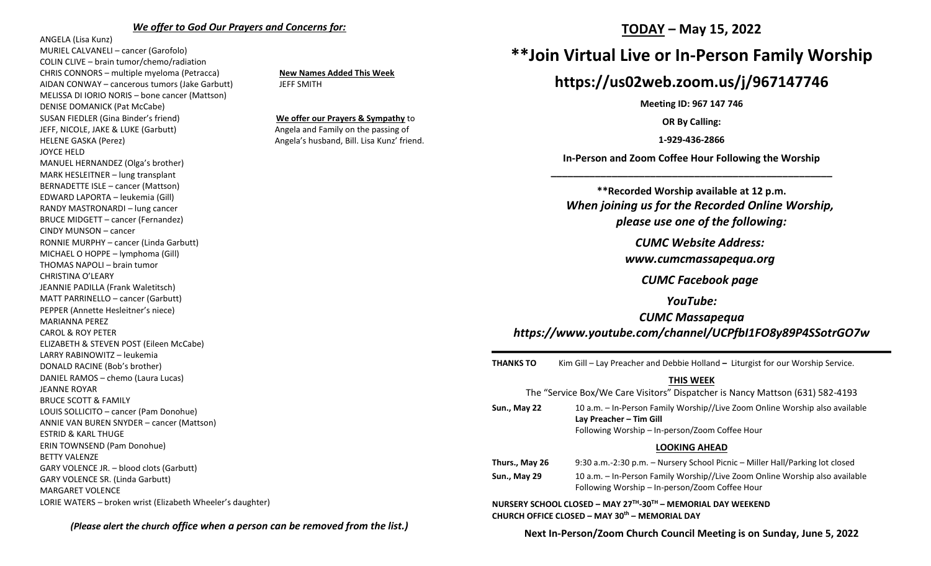#### *We offer to God Our Prayers and Concerns for:*

ANGELA (Lisa Kunz) MURIEL CALVANELI – cancer (Garofolo) COLIN CLIVE – brain tumor/chemo/radiation CHRIS CONNORS – multiple myeloma (Petracca) **New Names Added This Week** AIDAN CONWAY – cancerous tumors (Jake Garbutt) JEFF SMITH MELISSA DI IORIO NORIS – bone cancer (Mattson) DENISE DOMANICK (Pat McCabe) SUSAN FIEDLER (Gina Binder's friend) **We offer our Prayers & Sympathy** to JEFF, NICOLE, JAKE & LUKE (Garbutt) Angela and Family on the passing of HELENE GASKA (Perez) and the same of the same and the Angela's husband, Bill. Lisa Kunz' friend. JOYCE HELD MANUEL HERNANDEZ (Olga's brother) MARK HESLEITNER – lung transplant BERNADETTE ISLE – cancer (Mattson) EDWARD LAPORTA – leukemia (Gill) RANDY MASTRONARDI – lung cancer BRUCE MIDGETT – cancer (Fernandez) CINDY MUNSON – cancer RONNIE MURPHY – cancer (Linda Garbutt) MICHAEL O HOPPE – lymphoma (Gill) THOMAS NAPOLI – brain tumor CHRISTINA O'LEARY JEANNIE PADILLA (Frank Waletitsch) MATT PARRINELLO – cancer (Garbutt) PEPPER (Annette Hesleitner's niece) MARIANNA PEREZ CAROL & ROY PETER ELIZABETH & STEVEN POST (Eileen McCabe) LARRY RABINOWITZ – leukemia DONALD RACINE (Bob's brother) DANIEL RAMOS – chemo (Laura Lucas) JEANNE ROYAR BRUCE SCOTT & FAMILY LOUIS SOLLICITO – cancer (Pam Donohue) ANNIE VAN BUREN SNYDER – cancer (Mattson) ESTRID & KARL THUGE ERIN TOWNSEND (Pam Donohue) BETTY VALENZE GARY VOLENCE JR. – blood clots (Garbutt) GARY VOLENCE SR. (Linda Garbutt) MARGARET VOLENCE LORIE WATERS – broken wrist (Elizabeth Wheeler's daughter)

## **TODAY – May 15, 2022**

# **\*\*Join Virtual Live or In-Person Family Worship**

# **https://us02web.zoom.us/j/967147746**

**Meeting ID: 967 147 746**

**OR By Calling:**

**1-929-436-2866**

**In-Person and Zoom Coffee Hour Following the Worship \_\_\_\_\_\_\_\_\_\_\_\_\_\_\_\_\_\_\_\_\_\_\_\_\_\_\_\_\_\_\_\_\_\_\_\_\_\_\_\_\_\_\_\_\_\_\_\_\_\_\_**

**\*\*Recorded Worship available at 12 p.m.** *When joining us for the Recorded Online Worship, please use one of the following:*

*CUMC Website Address:*

*[www.cumcmassapequa.org](about:blank)*

*CUMC Facebook page*

*YouTube:*

*CUMC Massapequa [https://www.youtube.com/channel/UCPfbI1FO8y89P4SSotrGO7w](about:blank)*

**THANKS TO** Kim Gill – Lay Preacher and Debbie Holland **–** Liturgist for our Worship Service.

### **THIS WEEK**

|                     | The "Service Box/We Care Visitors" Dispatcher is Nancy Mattson (631) 582-4193                                                                            |
|---------------------|----------------------------------------------------------------------------------------------------------------------------------------------------------|
| Sun., May 22        | 10 a.m. - In-Person Family Worship//Live Zoom Online Worship also available<br>Lay Preacher - Tim Gill<br>Following Worship - In-person/Zoom Coffee Hour |
|                     | <b>LOOKING AHEAD</b>                                                                                                                                     |
| Thurs., May 26      | 9:30 a.m.-2:30 p.m. - Nursery School Picnic - Miller Hall/Parking lot closed                                                                             |
| <b>Sun., May 29</b> | 10 a.m. – In-Person Family Worship//Live Zoom Online Worship also available<br>Following Worship – In-person/Zoom Coffee Hour                            |
|                     | NURSERY SCHOOL CLOSED - MAY 27TH-30TH - MEMORIAL DAY WEEKEND<br>CHURCH OFFICE CLOSED - MAY 30 <sup>th</sup> - MEMORIAL DAY                               |

*(Please alert the church office when a person can be removed from the list.)*

**Next In-Person/Zoom Church Council Meeting is on Sunday, June 5, 2022**